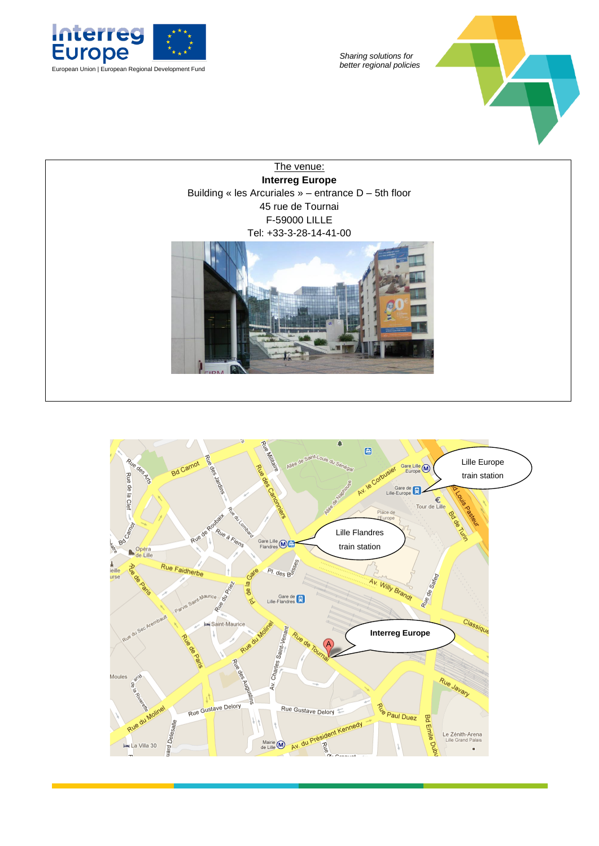

*Sharing solutions for* 



The venue: **Interreg Europe** Building « les Arcuriales » – entrance D – 5th floor 45 rue de Tournai F-59000 LILLE Tel: +33-3-28-14-41-00